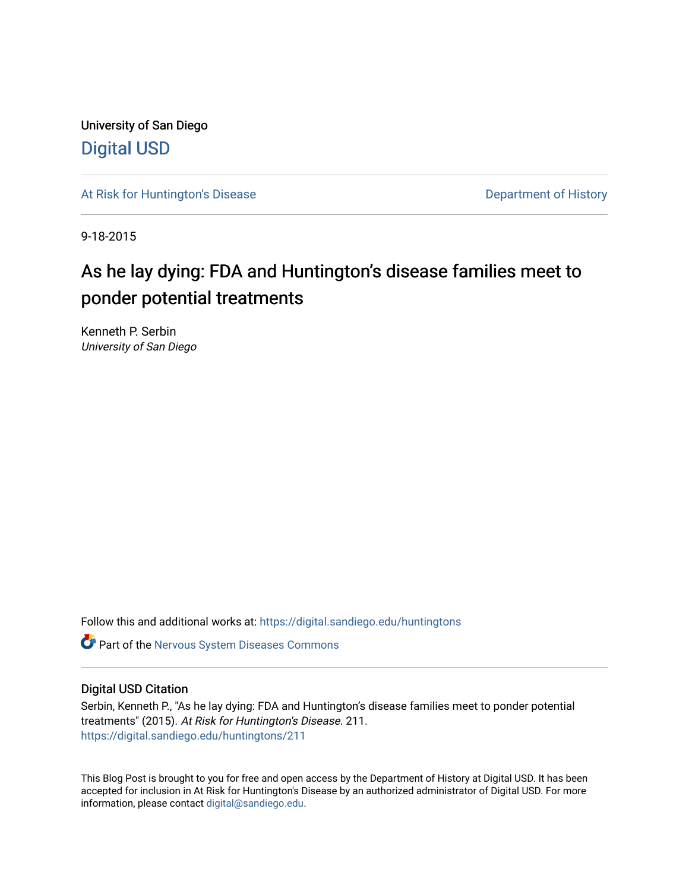University of San Diego [Digital USD](https://digital.sandiego.edu/)

[At Risk for Huntington's Disease](https://digital.sandiego.edu/huntingtons) **Department of History** Department of History

9-18-2015

# As he lay dying: FDA and Huntington's disease families meet to ponder potential treatments

Kenneth P. Serbin University of San Diego

Follow this and additional works at: [https://digital.sandiego.edu/huntingtons](https://digital.sandiego.edu/huntingtons?utm_source=digital.sandiego.edu%2Fhuntingtons%2F211&utm_medium=PDF&utm_campaign=PDFCoverPages)

**C** Part of the [Nervous System Diseases Commons](http://network.bepress.com/hgg/discipline/928?utm_source=digital.sandiego.edu%2Fhuntingtons%2F211&utm_medium=PDF&utm_campaign=PDFCoverPages)

#### Digital USD Citation

Serbin, Kenneth P., "As he lay dying: FDA and Huntington's disease families meet to ponder potential treatments" (2015). At Risk for Huntington's Disease. 211. [https://digital.sandiego.edu/huntingtons/211](https://digital.sandiego.edu/huntingtons/211?utm_source=digital.sandiego.edu%2Fhuntingtons%2F211&utm_medium=PDF&utm_campaign=PDFCoverPages)

This Blog Post is brought to you for free and open access by the Department of History at Digital USD. It has been accepted for inclusion in At Risk for Huntington's Disease by an authorized administrator of Digital USD. For more information, please contact [digital@sandiego.edu.](mailto:digital@sandiego.edu)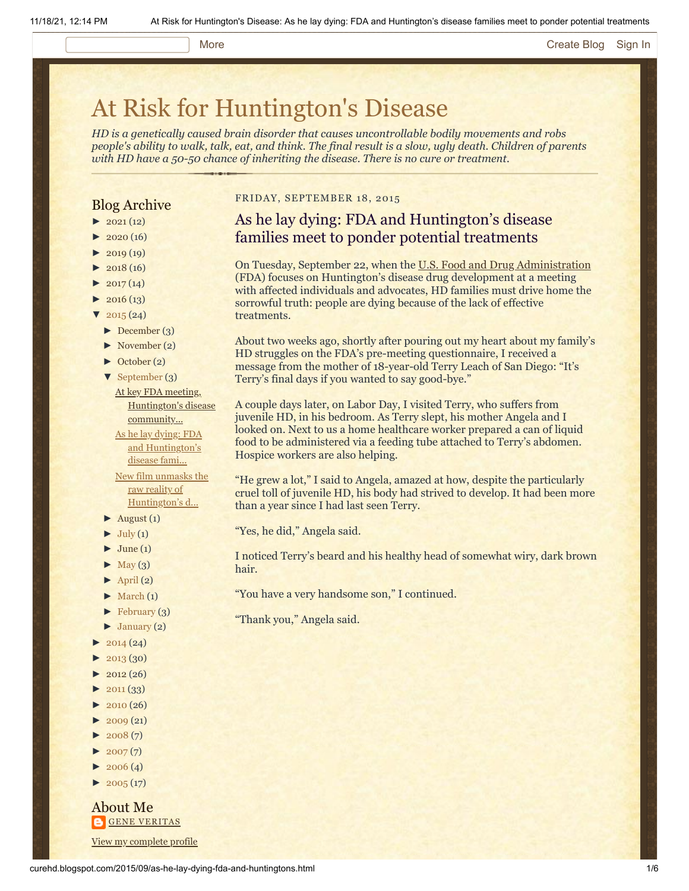#### More **[Create Blog](https://www.blogger.com/home#create) [Sign In](https://www.blogger.com/)**

# [At Risk for Huntington's Disease](http://curehd.blogspot.com/)

*HD is a genetically caused brain disorder that causes uncontrollable bodily movements and robs people's ability to walk, talk, eat, and think. The final result is a slow, ugly death. Children of parents with HD have a 50-50 chance of inheriting the disease. There is no cure or treatment.*

### Blog Archive

- $\blacktriangleright$  [2021](http://curehd.blogspot.com/2021/) (12)
- $2020(16)$  $2020(16)$
- $2019(19)$  $2019(19)$
- $2018(16)$  $2018(16)$
- $2017(14)$  $2017(14)$
- $2016(13)$  $2016(13)$
- $\sqrt{2015(24)}$  $\sqrt{2015(24)}$  $\sqrt{2015(24)}$
- [►](javascript:void(0)) [December](http://curehd.blogspot.com/2015/12/) (3)
- [►](javascript:void(0)) [November](http://curehd.blogspot.com/2015/11/) (2)
- [►](javascript:void(0)) [October](http://curehd.blogspot.com/2015/10/) (2)
- [▼](javascript:void(0)) [September](http://curehd.blogspot.com/2015/09/) (3)
	- At key FDA meeting, [Huntington's](http://curehd.blogspot.com/2015/09/at-key-fda-meeting-huntingtons-disease.html) disease community... As he lay dying: FDA

and [Huntington's](http://curehd.blogspot.com/2015/09/as-he-lay-dying-fda-and-huntingtons.html) disease fami... New film unmasks the

raw reality of [Huntington's](http://curehd.blogspot.com/2015/09/new-film-unmasks-raw-reality-of.html) d...

- $\blacktriangleright$  [August](http://curehd.blogspot.com/2015/08/) (1)
- $\blacktriangleright$  [July](http://curehd.blogspot.com/2015/07/) (1)
- $\blacktriangleright$  [June](http://curehd.blogspot.com/2015/06/) (1)
- $\blacktriangleright$  [May](http://curehd.blogspot.com/2015/05/) (3)
- $\blacktriangleright$  [April](http://curehd.blogspot.com/2015/04/) (2)
- $\blacktriangleright$  [March](http://curehd.blogspot.com/2015/03/)  $(1)$
- $\blacktriangleright$  [February](http://curehd.blogspot.com/2015/02/) (3)
- $\blacktriangleright$  [January](http://curehd.blogspot.com/2015/01/) (2)
- $2014(24)$  $2014(24)$
- $2013(30)$  $2013(30)$
- $2012(26)$  $2012(26)$
- $\blacktriangleright$  [2011](http://curehd.blogspot.com/2011/) (33)
- $2010(26)$  $2010(26)$
- $2009(21)$  $2009(21)$
- $2008(7)$  $2008(7)$
- $\blacktriangleright$  [2007](http://curehd.blogspot.com/2007/) $(7)$
- $\blacktriangleright$  [2006](http://curehd.blogspot.com/2006/) (4)
- $\blacktriangleright$  [2005](http://curehd.blogspot.com/2005/) (17)

About Me **GENE [VERITAS](https://www.blogger.com/profile/10911736205741688185)** View my [complete](https://www.blogger.com/profile/10911736205741688185) profile

#### FRIDAY, SEPTEMBER 18, 2015

## As he lay dying: FDA and Huntington's disease families meet to ponder potential treatments

On Tuesday, September 22, when the [U.S. Food and Drug Administration](http://www.fda.gov/) (FDA) focuses on Huntington's disease drug development at a meeting with affected individuals and advocates, HD families must drive home the sorrowful truth: people are dying because of the lack of effective treatments.

About two weeks ago, shortly after pouring out my heart about my family's HD struggles on the FDA's pre-meeting questionnaire, I received a message from the mother of 18-year-old Terry Leach of San Diego: "It's Terry's final days if you wanted to say good-bye."

A couple days later, on Labor Day, I visited Terry, who suffers from juvenile HD, in his bedroom. As Terry slept, his mother Angela and I looked on. Next to us a home healthcare worker prepared a can of liquid food to be administered via a feeding tube attached to Terry's abdomen. Hospice workers are also helping.

"He grew a lot," I said to Angela, amazed at how, despite the particularly cruel toll of juvenile HD, his body had strived to develop. It had been more than a year since I had last seen Terry.

"Yes, he did," Angela said.

I noticed Terry's beard and his healthy head of somewhat wiry, dark brown hair.

"You have a very handsome son," I continued.

"Thank you," Angela said.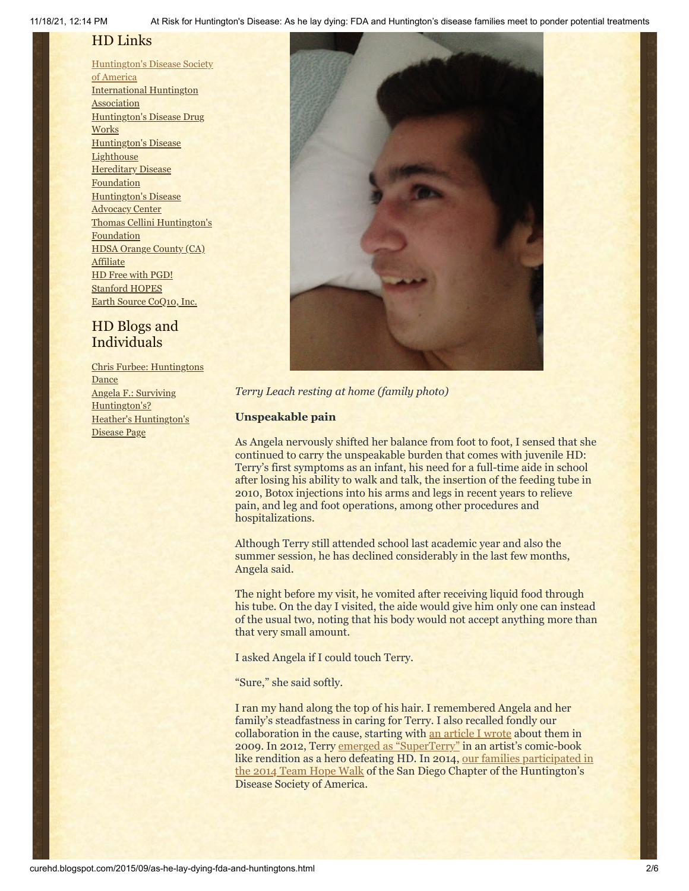# HD Links

[Huntington's](http://www.hdsa.org/) Disease Society of America [International](http://www.huntington-assoc.com/) Huntington **Association** [Huntington's](http://hddrugworks.org/) Disease Drug **Works** [Huntington's](http://www.hdlighthouse.org/) Disease **Lighthouse Hereditary Disease [Foundation](http://www.hdfoundation.org/)** [Huntington's](http://www.hdac.org/) Disease Advocacy Center Thomas [Cellini Huntington's](http://www.ourtchfoundation.org/) Foundation HDSA Orange County (CA) **[Affiliate](http://www.hdsaoc.org/)** HD Free with [PGD!](http://www.hdfreewithpgd.com/) [Stanford](http://www.stanford.edu/group/hopes/) HOPES Earth Source [CoQ10,](http://www.escoq10.com/) Inc.

## HD Blogs and Individuals

Chris Furbee: [Huntingtons](http://www.huntingtonsdance.org/) **Dance** Angela F.: Surviving [Huntington's?](http://survivinghuntingtons.blogspot.com/) Heather's [Huntington's](http://heatherdugdale.angelfire.com/) Disease Page



#### *Terry Leach resting at home (family photo)*

#### **Unspeakable pain**

As Angela nervously shifted her balance from foot to foot, I sensed that she continued to carry the unspeakable burden that comes with juvenile HD: Terry's first symptoms as an infant, his need for a full-time aide in school after losing his ability to walk and talk, the insertion of the feeding tube in 2010, Botox injections into his arms and legs in recent years to relieve pain, and leg and foot operations, among other procedures and hospitalizations.

Although Terry still attended school last academic year and also the summer session, he has declined considerably in the last few months, Angela said.

The night before my visit, he vomited after receiving liquid food through his tube. On the day I visited, the aide would give him only one can instead of the usual two, noting that his body would not accept anything more than that very small amount.

I asked Angela if I could touch Terry.

"Sure," she said softly.

I ran my hand along the top of his hair. I remembered Angela and her family's steadfastness in caring for Terry. I also recalled fondly our collaboration in the cause, starting with [an article I wrote](http://curehd.blogspot.com/2009/12/feel-love-family-faces-juvenile.html) about them in 2009. In 2012, Terry [emerged as "SuperTerry"](http://curehd.blogspot.com/2012/09/superterry-destroys-evil-monster.html) in an artist's comic-book like rendition as a hero defeating HD. In 2014, our families participated in [the 2014 Team Hope Walk of the San Diego Chapter of the Huntington's](http://curehd.blogspot.com/2014/04/reshaping-my-career-and-life-in-face-of.html) Disease Society of America.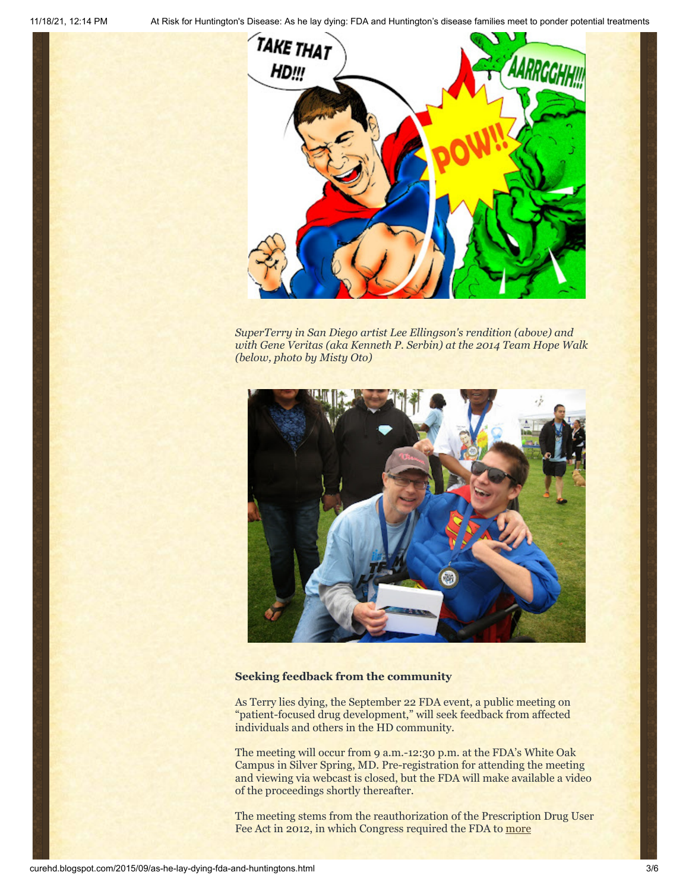11/18/21, 12:14 PM At Risk for Huntington's Disease: As he lay dying: FDA and Huntington's disease families meet to ponder potential treatments



*SuperTerry in San Diego artist Lee Ellingson's rendition (above) and with Gene Veritas (aka Kenneth P. Serbin) at the 2014 Team Hope Walk (below, photo by Misty Oto)*



#### **Seeking feedback from the community**

As Terry lies dying, the September 22 FDA event, a public meeting on "patient-focused drug development," will seek feedback from affected individuals and others in the HD community.

The meeting will occur from 9 a.m.-12:30 p.m. at the FDA's White Oak Campus in Silver Spring, MD. Pre-registration for attending the meeting and viewing via webcast is closed, but the FDA will make available a video of the proceedings shortly thereafter.

The meeting stems from the reauthorization of the Prescription Drug User Fee Act in 2012, in [which Congress required the FDA to more](http://www.fda.gov/ForIndustry/UserFees/PrescriptionDrugUserFee/ucm326192.htm)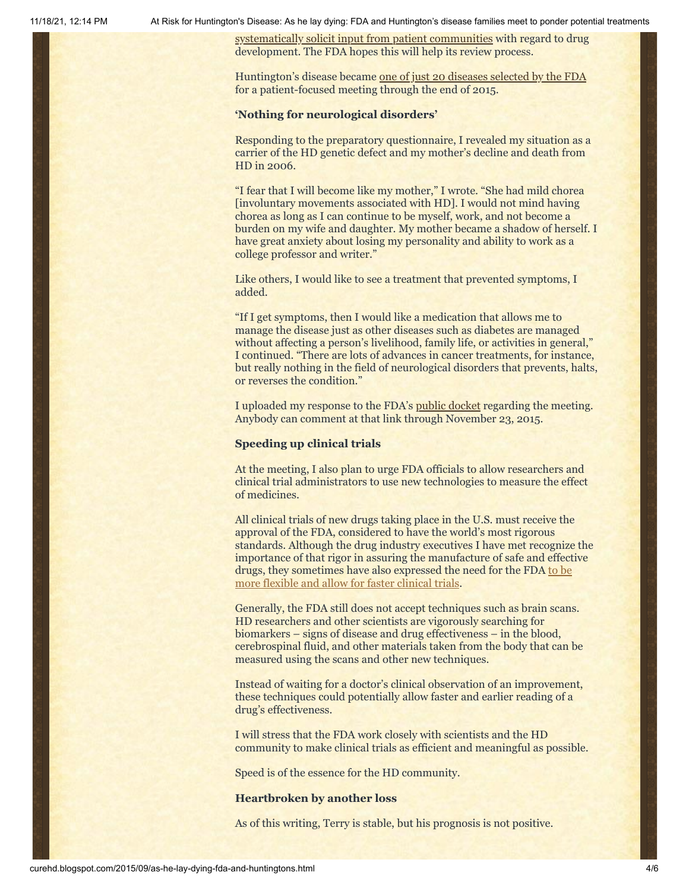11/18/21, 12:14 PM At Risk for Huntington's Disease: As he lay dying: FDA and Huntington's disease families meet to ponder potential treatments

[systematically solicit input from patient communities with reg](http://www.fda.gov/ForIndustry/UserFees/PrescriptionDrugUserFee/ucm326192.htm)ard to drug development. The FDA hopes this will help its review process.

Huntington's disease became [one of just 20 diseases selected by the FDA](http://www.mycentraljersey.com/story/news/local/outreach/caring-communities/2015/07/16/huntingtons-disease-howard-cross/30265185/) for a patient-focused meeting through the end of 2015.

#### **'Nothing for neurological disorders'**

Responding to the preparatory questionnaire, I revealed my situation as a carrier of the HD genetic defect and my mother's decline and death from HD in 2006.

"I fear that I will become like my mother," I wrote. "She had mild chorea [involuntary movements associated with HD]. I would not mind having chorea as long as I can continue to be myself, work, and not become a burden on my wife and daughter. My mother became a shadow of herself. I have great anxiety about losing my personality and ability to work as a college professor and writer."

Like others, I would like to see a treatment that prevented symptoms, I added.

"If I get symptoms, then I would like a medication that allows me to manage the disease just as other diseases such as diabetes are managed without affecting a person's livelihood, family life, or activities in general," I continued. "There are lots of advances in cancer treatments, for instance, but really nothing in the field of neurological disorders that prevents, halts, or reverses the condition."

I uploaded my response to the FDA's [public docket](http://www.regulations.gov/#!documentDetail;D=FDA-2012-N-0967-0747) regarding the meeting. Anybody can comment at that link through November 23, 2015.

#### **Speeding up clinical trials**

At the meeting, I also plan to urge FDA officials to allow researchers and clinical trial administrators to use new technologies to measure the effect of medicines.

All clinical trials of new drugs taking place in the U.S. must receive the approval of the FDA, considered to have the world's most rigorous standards. Although the drug industry executives I have met recognize the importance of that rigor in assuring the manufacture of safe and effective [drugs, they sometimes have also expressed the need for the FDA to be](http://curehd.blogspot.com/2011/05/holding-potential-cure-in-my-hand.html) more flexible and allow for faster clinical trials.

Generally, the FDA still does not accept techniques such as brain scans. HD researchers and other scientists are vigorously searching for biomarkers – signs of disease and drug effectiveness – in the blood, cerebrospinal fluid, and other materials taken from the body that can be measured using the scans and other new techniques.

Instead of waiting for a doctor's clinical observation of an improvement, these techniques could potentially allow faster and earlier reading of a drug's effectiveness.

I will stress that the FDA work closely with scientists and the HD community to make clinical trials as efficient and meaningful as possible.

Speed is of the essence for the HD community.

#### **Heartbroken by another loss**

As of this writing, Terry is stable, but his prognosis is not positive.